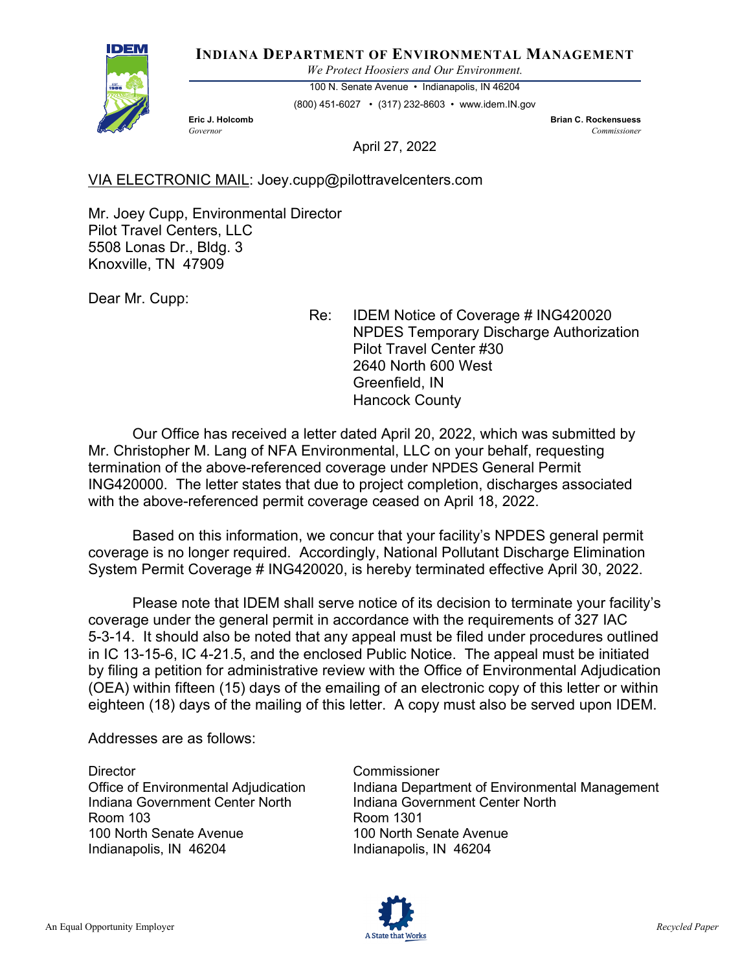

**INDIANA DEPARTMENT OF ENVIRONMENTAL MANAGEMENT**

*We Protect Hoosiers and Our Environment.*

100 N. Senate Avenue • Indianapolis, IN 46204 (800) 451-6027 • (317) 232-8603 • www.idem.IN.gov

**Eric J. Holcomb Brian C. Rockensuess** *Governor Commissioner* 

April 27, 2022

VIA ELECTRONIC MAIL: Joey.cupp@pilottravelcenters.com

Mr. Joey Cupp, Environmental Director Pilot Travel Centers, LLC 5508 Lonas Dr., Bldg. 3 Knoxville, TN 47909

Dear Mr. Cupp:

Re: IDEM Notice of Coverage # ING420020 NPDES Temporary Discharge Authorization Pilot Travel Center #30 2640 North 600 West Greenfield, IN Hancock County

Our Office has received a letter dated April 20, 2022, which was submitted by Mr. Christopher M. Lang of NFA Environmental, LLC on your behalf, requesting termination of the above-referenced coverage under NPDES General Permit ING420000. The letter states that due to project completion, discharges associated with the above-referenced permit coverage ceased on April 18, 2022.

Based on this information, we concur that your facility's NPDES general permit coverage is no longer required. Accordingly, National Pollutant Discharge Elimination System Permit Coverage # ING420020, is hereby terminated effective April 30, 2022.

Please note that IDEM shall serve notice of its decision to terminate your facility's coverage under the general permit in accordance with the requirements of 327 IAC 5-3-14. It should also be noted that any appeal must be filed under procedures outlined in IC 13-15-6, IC 4-21.5, and the enclosed Public Notice. The appeal must be initiated by filing a petition for administrative review with the Office of Environmental Adjudication (OEA) within fifteen (15) days of the emailing of an electronic copy of this letter or within eighteen (18) days of the mailing of this letter. A copy must also be served upon IDEM.

Addresses are as follows:

Director Commissioner Indiana Government Center North Indiana Government Center North Room 103 Room 1301 100 North Senate Avenue 100 North Senate Avenue Indianapolis, IN 46204 Indianapolis, IN 46204

Office of Environmental Adjudication Indiana Department of Environmental Management

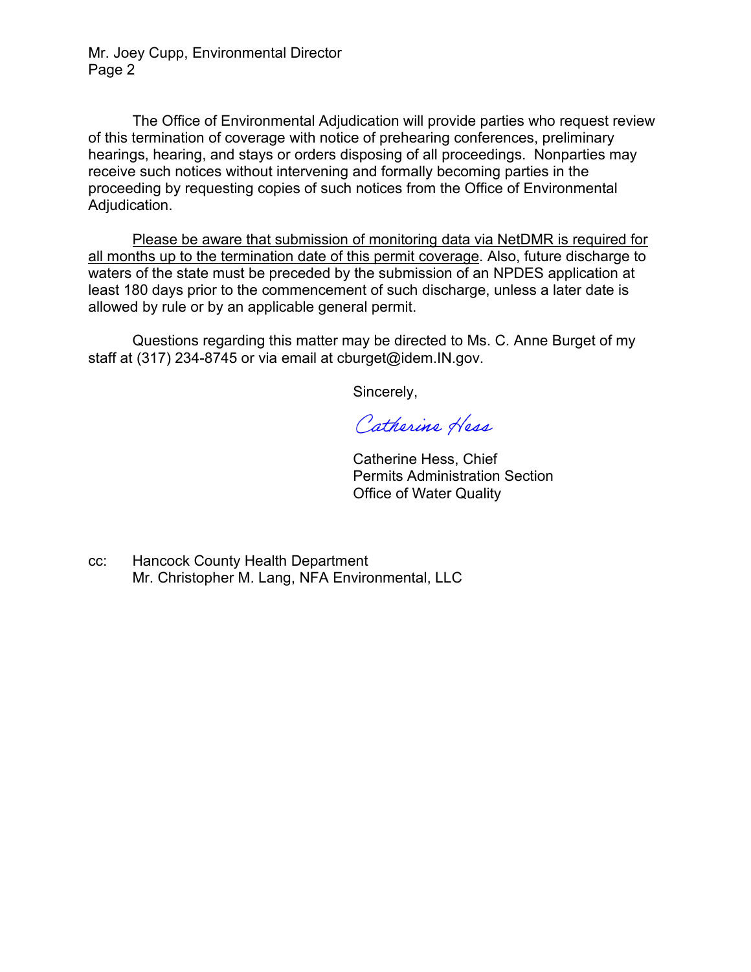Mr. Joey Cupp, Environmental Director Page 2

The Office of Environmental Adjudication will provide parties who request review of this termination of coverage with notice of prehearing conferences, preliminary hearings, hearing, and stays or orders disposing of all proceedings. Nonparties may receive such notices without intervening and formally becoming parties in the proceeding by requesting copies of such notices from the Office of Environmental Adjudication.

Please be aware that submission of monitoring data via NetDMR is required for all months up to the termination date of this permit coverage. Also, future discharge to waters of the state must be preceded by the submission of an NPDES application at least 180 days prior to the commencement of such discharge, unless a later date is allowed by rule or by an applicable general permit.

Questions regarding this matter may be directed to Ms. C. Anne Burget of my staff at (317) 234-8745 or via email at cburget@idem.IN.gov.

Sincerely,

Catherine Hess

 Catherine Hess, Chief Permits Administration Section Office of Water Quality

cc: Hancock County Health Department Mr. Christopher M. Lang, NFA Environmental, LLC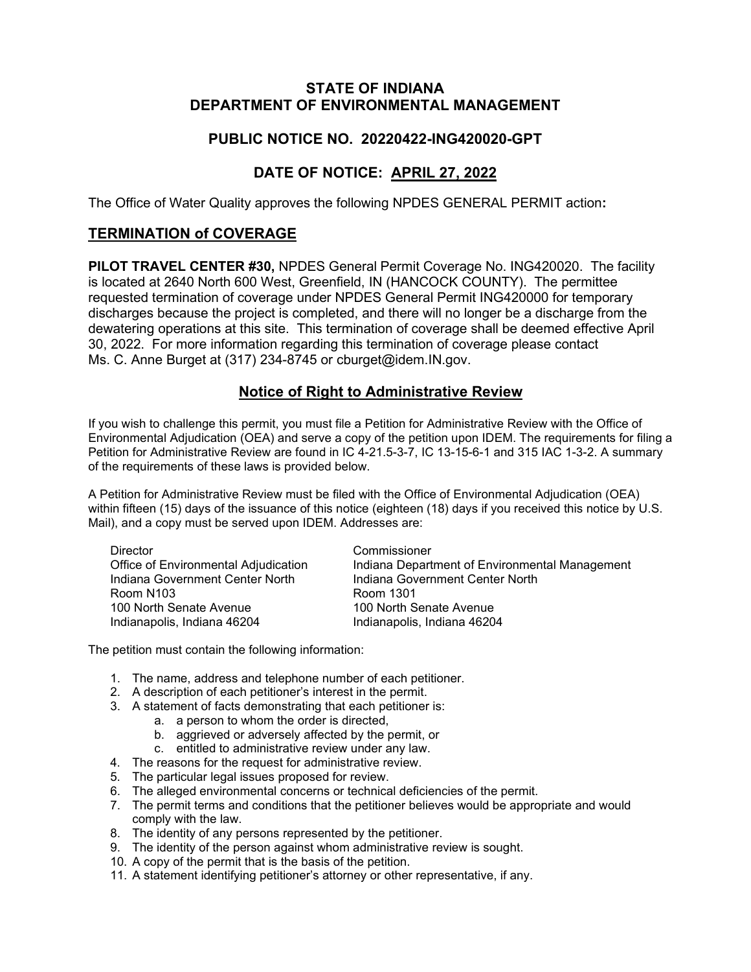### **STATE OF INDIANA DEPARTMENT OF ENVIRONMENTAL MANAGEMENT**

## **PUBLIC NOTICE NO. 20220422-ING420020-GPT**

# **DATE OF NOTICE: APRIL 27, 2022**

The Office of Water Quality approves the following NPDES GENERAL PERMIT action**:**

## **TERMINATION of COVERAGE**

**PILOT TRAVEL CENTER #30,** NPDES General Permit Coverage No. ING420020. The facility is located at 2640 North 600 West, Greenfield, IN (HANCOCK COUNTY). The permittee requested termination of coverage under NPDES General Permit ING420000 for temporary discharges because the project is completed, and there will no longer be a discharge from the dewatering operations at this site. This termination of coverage shall be deemed effective April 30, 2022. For more information regarding this termination of coverage please contact Ms. C. Anne Burget at (317) 234-8745 or cburget@idem.IN.gov.

### **Notice of Right to Administrative Review**

If you wish to challenge this permit, you must file a Petition for Administrative Review with the Office of Environmental Adjudication (OEA) and serve a copy of the petition upon IDEM. The requirements for filing a Petition for Administrative Review are found in IC 4-21.5-3-7, IC 13-15-6-1 and 315 IAC 1-3-2. A summary of the requirements of these laws is provided below.

A Petition for Administrative Review must be filed with the Office of Environmental Adjudication (OEA) within fifteen (15) days of the issuance of this notice (eighteen (18) days if you received this notice by U.S. Mail), and a copy must be served upon IDEM. Addresses are:

| Director                             | Commissioner                                   |
|--------------------------------------|------------------------------------------------|
| Office of Environmental Adjudication | Indiana Department of Environmental Management |
| Indiana Government Center North      | Indiana Government Center North                |
| Room N103                            | Room 1301                                      |
| 100 North Senate Avenue              | 100 North Senate Avenue                        |
| Indianapolis, Indiana 46204          | Indianapolis, Indiana 46204                    |

The petition must contain the following information:

- 1. The name, address and telephone number of each petitioner.
- 2. A description of each petitioner's interest in the permit.
- 3. A statement of facts demonstrating that each petitioner is:
	- a. a person to whom the order is directed,
	- b. aggrieved or adversely affected by the permit, or
	- c. entitled to administrative review under any law.
- 4. The reasons for the request for administrative review.
- 5. The particular legal issues proposed for review.
- 6. The alleged environmental concerns or technical deficiencies of the permit.
- 7. The permit terms and conditions that the petitioner believes would be appropriate and would comply with the law.
- 8. The identity of any persons represented by the petitioner.
- 9. The identity of the person against whom administrative review is sought.
- 10. A copy of the permit that is the basis of the petition.
- 11. A statement identifying petitioner's attorney or other representative, if any.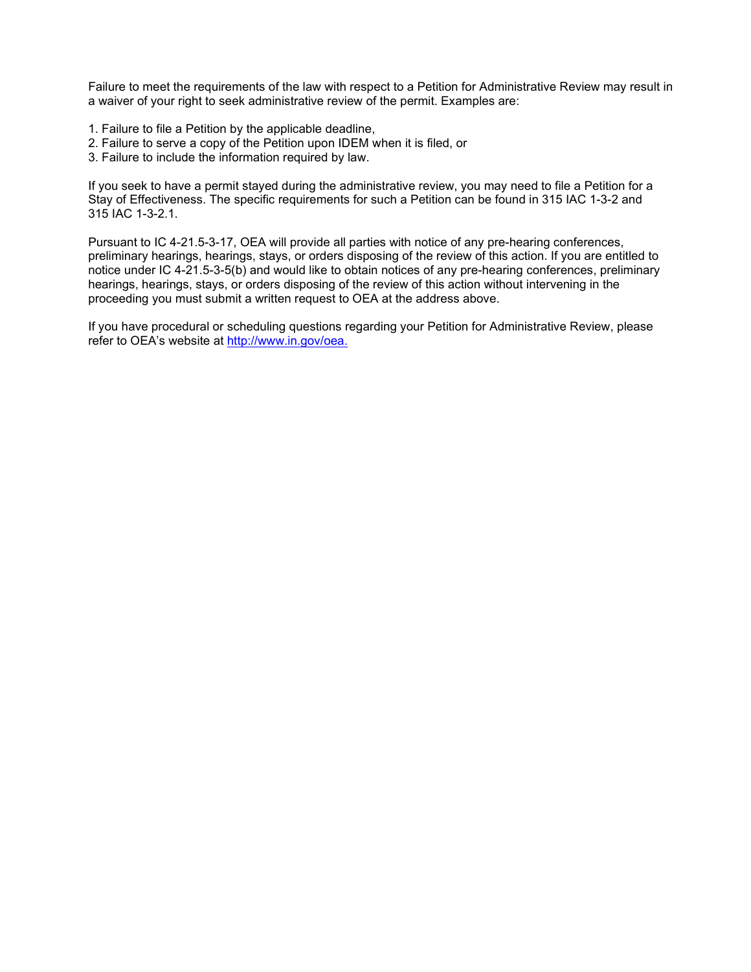Failure to meet the requirements of the law with respect to a Petition for Administrative Review may result in a waiver of your right to seek administrative review of the permit. Examples are:

- 1. Failure to file a Petition by the applicable deadline,
- 2. Failure to serve a copy of the Petition upon IDEM when it is filed, or
- 3. Failure to include the information required by law.

If you seek to have a permit stayed during the administrative review, you may need to file a Petition for a Stay of Effectiveness. The specific requirements for such a Petition can be found in 315 IAC 1-3-2 and 315 IAC 1-3-2.1.

Pursuant to IC 4-21.5-3-17, OEA will provide all parties with notice of any pre-hearing conferences, preliminary hearings, hearings, stays, or orders disposing of the review of this action. If you are entitled to notice under IC 4-21.5-3-5(b) and would like to obtain notices of any pre-hearing conferences, preliminary hearings, hearings, stays, or orders disposing of the review of this action without intervening in the proceeding you must submit a written request to OEA at the address above.

If you have procedural or scheduling questions regarding your Petition for Administrative Review, please refer to OEA's website at [http://www.in.gov/oea.](http://www.in.gov/oea)